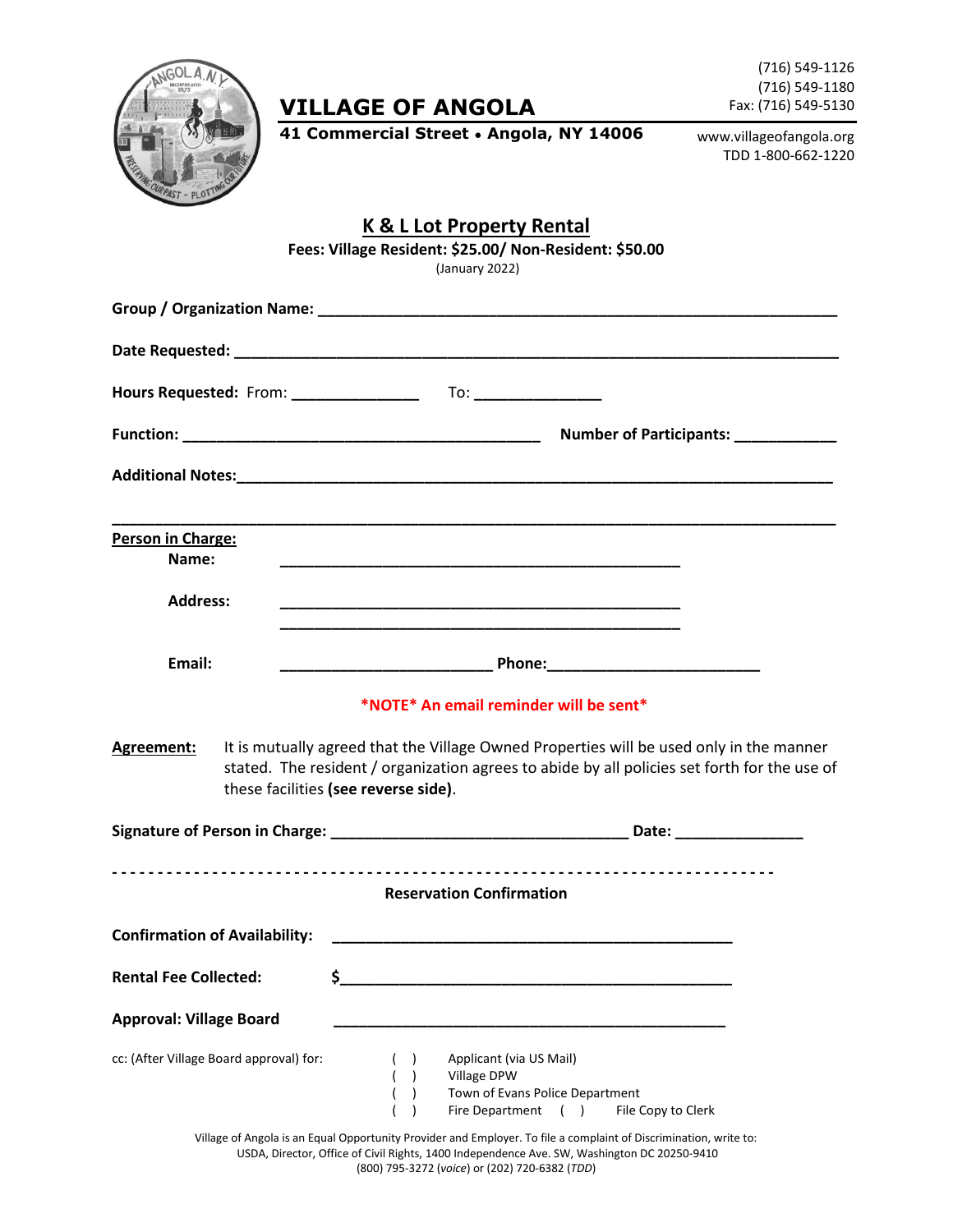

## **VILLAGE OF ANGOLA**

(716) 549-1126 (716) 549-1180 Fax: (716) 549-5130

**41 Commercial Street ● Angola, NY 14006**

www.villageofangola.org TDD 1-800-662-1220

|                                               | <b>K &amp; L Lot Property Rental</b><br>Fees: Village Resident: \$25.00/ Non-Resident: \$50.00<br>(January 2022)                                                                                                                                                          |
|-----------------------------------------------|---------------------------------------------------------------------------------------------------------------------------------------------------------------------------------------------------------------------------------------------------------------------------|
|                                               |                                                                                                                                                                                                                                                                           |
|                                               |                                                                                                                                                                                                                                                                           |
|                                               |                                                                                                                                                                                                                                                                           |
|                                               | Number of Participants: _____________                                                                                                                                                                                                                                     |
|                                               |                                                                                                                                                                                                                                                                           |
| Person in Charge:<br>Name:<br><b>Address:</b> |                                                                                                                                                                                                                                                                           |
| Email:                                        |                                                                                                                                                                                                                                                                           |
| Agreement:                                    | *NOTE* An email reminder will be sent*<br>It is mutually agreed that the Village Owned Properties will be used only in the manner<br>stated. The resident / organization agrees to abide by all policies set forth for the use of<br>these facilities (see reverse side). |
|                                               |                                                                                                                                                                                                                                                                           |
|                                               | <b>Reservation Confirmation</b>                                                                                                                                                                                                                                           |
| <b>Confirmation of Availability:</b>          |                                                                                                                                                                                                                                                                           |
| <b>Rental Fee Collected:</b>                  | \$                                                                                                                                                                                                                                                                        |
| <b>Approval: Village Board</b>                |                                                                                                                                                                                                                                                                           |
| cc: (After Village Board approval) for:       | Applicant (via US Mail)<br>Village DPW<br>Town of Evans Police Department<br>Fire Department ()<br>File Copy to Clerk                                                                                                                                                     |

Village of Angola is an Equal Opportunity Provider and Employer. To file a complaint of Discrimination, write to: USDA, Director, Office of Civil Rights, 1400 Independence Ave. SW, Washington DC 20250-9410 (800) 795-3272 (*voice*) or (202) 720-6382 (*TDD*)